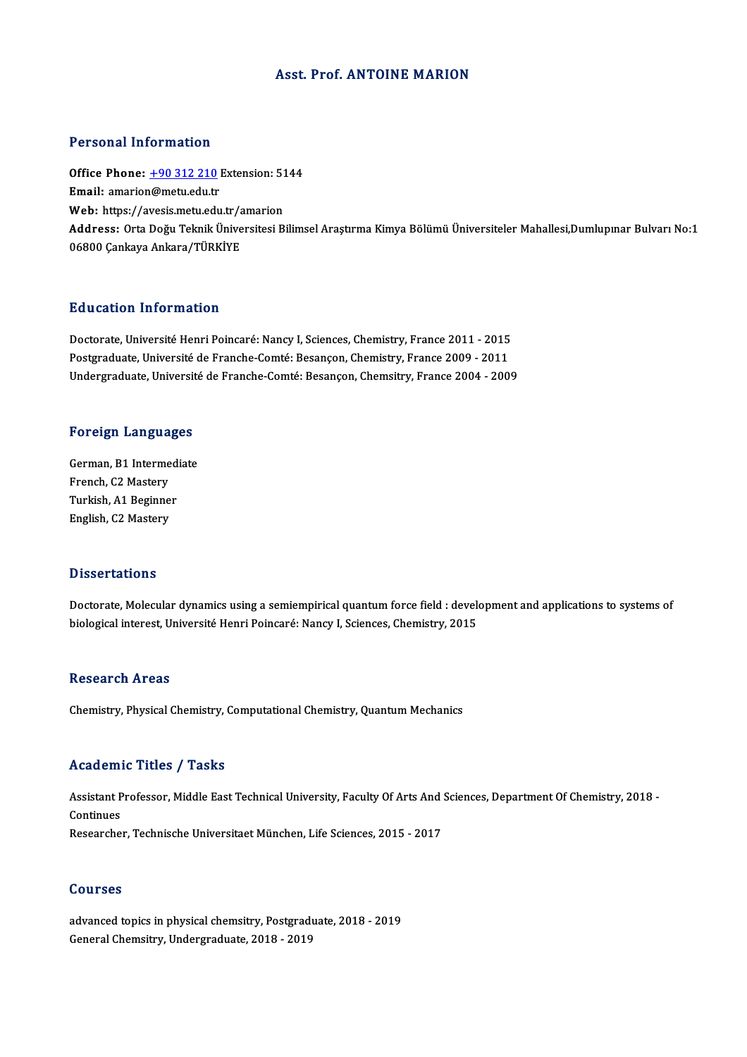## **Asst. Prof. ANTOINE MARION**

## Personal Information

Personal Information<br>Office Phone: <u>+90 312 210</u> Extension: 5144<br>Email: amarian@matu.odu.tr Procedulation interests<br>Office Phone: <u>+90 312 210</u><br>Email: amario[n@metu.edu.tr](tel:+90 312 210) Office Phone: <u>+90 312 210</u> Extension: 51<br>Email: amarion@metu.edu.tr<br>Web: https://avesis.metu.edu.tr/amarion<br>Address: Orte Deču Telmik Üniversitesi P Email: amarion@metu.edu.tr<br>Web: https://avesis.metu.edu.tr/amarion<br>Address: Orta Doğu Teknik Üniversitesi Bilimsel Araştırma Kimya Bölümü Üniversiteler Mahallesi,Dumlupınar Bulvarı No:1<br>06800 Cankaya Ankara/TÜRKİYE Web: https://avesis.metu.edu.tr/a<br><mark>Address:</mark> Orta Doğu Teknik Ünive<br>06800 Çankaya Ankara/TÜRKİYE

## Education Information

Education Information<br>Doctorate, Université Henri Poincaré: Nancy I, Sciences, Chemistry, France 2011 - 2015<br>Postareduate Université de Franche Comté: Pesanson Chemistry, France 2009 - 2011 Pu d'eutren Innermation<br>Doctorate, Université Henri Poincaré: Nancy I, Sciences, Chemistry, France 2011 - 2015<br>Postgraduate, Université de Franche-Comté: Besançon, Chemistry, France 2009 - 2011<br>Undersreduate Université de Postgraduate, Université de Franche-Comté: Besançon, Chemistry, France 2009 - 2011<br>Undergraduate, Université de Franche-Comté: Besançon, Chemsitry, France 2004 - 2009

# <sub>ondergraduate, oniversit<br>Foreign Languages</sub>

Foreign Languages<br>German, B1 Intermediate<br>Erensh C2 Mesterri For eight Europa<br>German, B1 Interme<br>French, C2 Mastery<br>Turkish, A1 Beginne German, B1 Intermed<br>French, C2 Mastery<br>Turkish, A1 Beginner<br>English, C2 Mastery French, C2 Mastery<br>Turkish, A1 Beginner<br>English, C2 Mastery

### **Dissertations**

Doctorate, Molecular dynamics using a semiempirical quantum force field : development and applications to systems of biological interest, Université Henri Poincaré: Nancy I, Sciences, Chemistry, 2015

## **Research Areas**

Chemistry, Physical Chemistry, Computational Chemistry, Quantum Mechanics

## Academic Titles / Tasks

Academic Titles / Tasks<br>Assistant Professor, Middle East Technical University, Faculty Of Arts And Sciences, Department Of Chemistry, 2018 -<br>Continues Assistant P<br>Continues<br>Peseershe Assistant Professor, Middle East Technical University, Faculty Of Arts And<br>Continues<br>Researcher, Technische Universitaet München, Life Sciences, 2015 - 2017 Researcher, Technische Universitaet München, Life Sciences, 2015 - 2017<br>Courses

advanced topics in physical chemsitry, Postgraduate, 2018 - 2019 General Chemsitry, Undergraduate, 2018 - 2019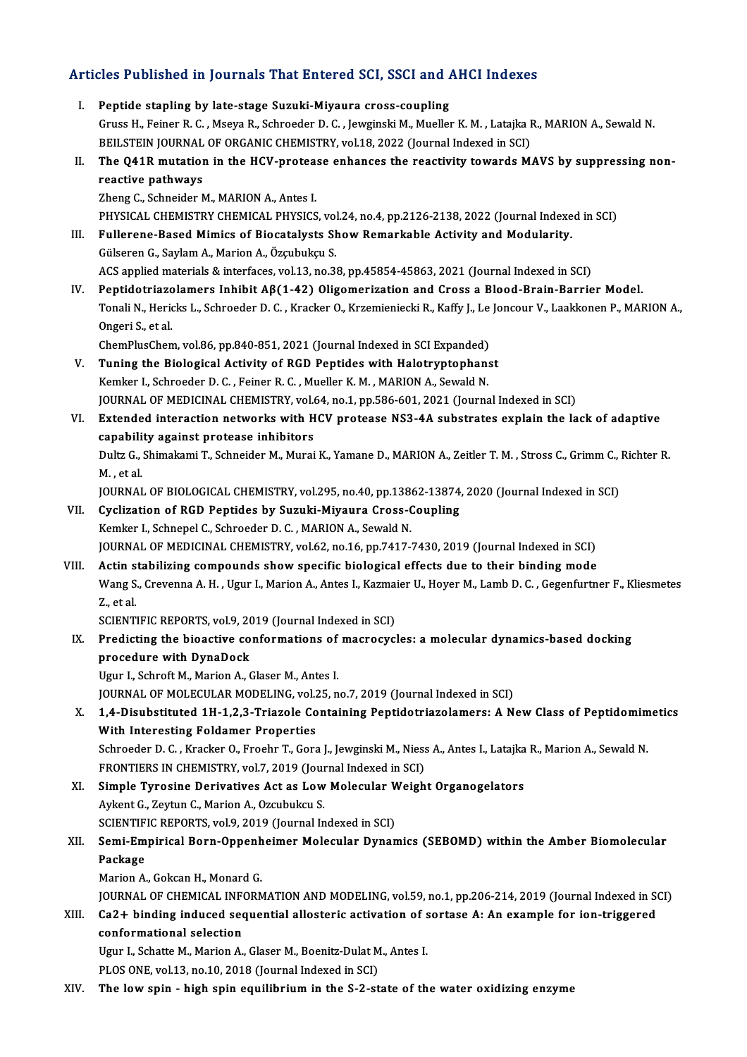# Articles Published in Journals That Entered SCI, SSCI and AHCI Indexes

- rticles Published in Journals That Entered SCI, SSCI and A<br>I. Peptide stapling by late-stage Suzuki-Miyaura cross-coupling<br>Cruss H. Feiner B.C. Means B. Schreeder D.C. Jouginals M. Muellon Gruss Habitoned in Joannalo That Enter on our, Sour and Three Indenses<br>Peptide stapling by late-stage Suzuki-Miyaura cross-coupling<br>Gruss H., Feiner R. C. , Mseya R., Schroeder D. C. , Jewginski M., Mueller K. M. , Latajka Peptide stapling by late-stage Suzuki-Miyaura cross-coupling<br>Gruss H., Feiner R. C. , Mseya R., Schroeder D. C. , Jewginski M., Mueller K. M. , Latajka I<br>BEILSTEIN JOURNAL OF ORGANIC CHEMISTRY, vol.18, 2022 (Journal Indexe Gruss H., Feiner R. C. , Mseya R., Schroeder D. C. , Jewginski M., Mueller K. M. , Latajka R., MARION A., Sewald N.<br>BEILSTEIN JOURNAL OF ORGANIC CHEMISTRY, vol.18, 2022 (Journal Indexed in SCI)<br>II. The Q41R mutation in the BEILSTEIN JOURNAL OF ORGANIC CHEMISTRY, vol.18, 2022 (Journal Indexed in SCI)<br>II. The Q41R mutation in the HCV-protease enhances the reactivity towards MAVS by suppressing non-<br>reactive pathways Zheng C., Schneider M., MARION A., Antes I. reactive pathways<br>Zheng C., Schneider M., MARION A., Antes I.<br>PHYSICAL CHEMISTRY CHEMICAL PHYSICS, vol.24, no.4, pp.2126-2138, 2022 (Journal Indexed in SCI)<br>Eullarene Beeed Mimise of Bioestelysts Show Bomerkeble Astivity a Zheng C., Schneider M., MARION A., Antes I.<br>PHYSICAL CHEMISTRY CHEMICAL PHYSICS, vol.24, no.4, pp.2126-2138, 2022 (Journal Indexe<br>III. Fullerene-Based Mimics of Biocatalysts Show Remarkable Activity and Modularity. PHYSICAL CHEMISTRY CHEMICAL PHYSICS, vol<br>Fullerene-Based Mimics of Biocatalysts SP<br>Gülseren G., Saylam A., Marion A., Özçubukçu S.<br>ACS applied materials & interfaces vol 12, po 3 III. Fullerene-Based Mimics of Biocatalysts Show Remarkable Activity and Modularity.<br>Gülseren G., Saylam A., Marion A., Özçubukçu S.<br>ACS applied materials & interfaces, vol.13, no.38, pp.45854-45863, 2021 (Journal Indexed IV. Peptidotriazolamers Inhibit Aβ(1-42) Oligomerization and Cross a Blood-Brain-Barrier Model. ACS applied materials & interfaces, vol.13, no.38, pp.45854-45863, 2021 (Journal Indexed in SCI)<br>Peptidotriazolamers Inhibit Aβ(1-42) Oligomerization and Cross a Blood-Brain-Barrier Model.<br>Tonali N., Hericks L., Schroeder Peptidotriazo<br>Tonali N., Heric<br>Ongeri S., et al.<br>ChemPlusChem Tonali N., Hericks L., Schroeder D. C. , Kracker O., Krzemieniecki R., Kaffy J., Le<br>Ongeri S., et al.<br>ChemPlusChem, vol.86, pp.840-851, 2021 (Journal Indexed in SCI Expanded)<br>Tuning the Biological Activity of PCD Bontides Ongeri S., et al.<br>ChemPlusChem, vol.86, pp.840-851, 2021 (Journal Indexed in SCI Expanded)<br>V. Tuning the Biological Activity of RGD Peptides with Halotryptophanst<br>Kemker J. Schreeder D. G. Feiner B. G. Mueller K. M. MARION ChemPlusChem, vol.86, pp.840-851, 2021 (Journal Indexed in SCI Expanded)<br>Tuning the Biological Activity of RGD Peptides with Halotryptophan:<br>Kemker I., Schroeder D. C. , Feiner R. C. , Mueller K. M. , MARION A., Sewald N.<br> Kemker I., Schroeder D. C. , Feiner R. C. , Mueller K. M. , MARION A., Sewald N.<br>JOURNAL OF MEDICINAL CHEMISTRY, vol.64, no.1, pp.586-601, 2021 (Journal Indexed in SCI) Kemker I., Schroeder D. C. , Feiner R. C. , Mueller K. M. , MARION A., Sewald N.<br>JOURNAL OF MEDICINAL CHEMISTRY, vol.64, no.1, pp.586-601, 2021 (Journal Indexed in SCI)<br>VI. Extended interaction networks with HCV protease N JOURNAL OF MEDICINAL CHEMISTRY, vol.<br>Extended interaction networks with H<br>capability against protease inhibitors<br>Dulty C. Shimakami T. Schneider M. Murai Extended interaction networks with HCV protease NS3-4A substrates explain the lack of adaptive<br>capability against protease inhibitors<br>Dultz G., Shimakami T., Schneider M., Murai K., Yamane D., MARION A., Zeitler T. M. , St c<mark>apabili</mark><br>Dultz G.,<br>M. , et al.<br>IOUPNAI Dultz G., Shimakami T., Schneider M., Murai K., Yamane D., MARION A., Zeitler T. M. , Stross C., Grimm C., .<br>M. , et al.<br>JOURNAL OF BIOLOGICAL CHEMISTRY, vol.295, no.40, pp.13862-13874, 2020 (Journal Indexed in SCI)<br>Cyclin M. , et al.<br>JOURNAL OF BIOLOGICAL CHEMISTRY, vol.295, no.40, pp.13862-13874, 2020 (Journal Indexed in SCI)<br>VII. Cyclization of RGD Peptides by Suzuki-Miyaura Cross-Coupling Kemker I., Schnepel C., Schroeder D. C., MARION A., Sewald N. JOURNAL OF MEDICINAL CHEMISTRY, vol.62, no.16, pp.7417-7430, 2019 (Journal Indexed in SCI) VIII. Actin stabilizing compounds show specific biological effects due to their binding mode JOURNAL OF MEDICINAL CHEMISTRY, vol.62, no.16, pp.7417-7430, 2019 (Journal Indexed in SCI)<br>Actin stabilizing compounds show specific biological effects due to their binding mode<br>Wang S., Crevenna A. H. , Ugur I., Marion A. A<mark>ctin s</mark><br>Wang S.<br>Z., et al.<br>SCIENTI Wang S., Crevenna A. H. , Ugur I., Marion A., Antes I., Kazma<br>Z., et al.<br>SCIENTIFIC REPORTS, vol.9, 2019 (Journal Indexed in SCI)<br>Predisting the bioastive senformations of massesus! Z., et al.<br>SCIENTIFIC REPORTS, vol.9, 2019 (Journal Indexed in SCI)<br>IX. Predicting the bioactive conformations of macrocycles: a molecular dynamics-based docking<br>presedure with DunaDeck SCIENTIFIC REPORTS, vol.9, 2019 (Journal Indexed in SCI)<br>Predicting the bioactive conformations of macrocyc<br>procedure with DynaDock<br>Ugur I., Schroft M., Marion A., Glaser M., Antes I. Predicting the bioactive conformations of<br>procedure with DynaDock<br>Ugur I., Schroft M., Marion A., Glaser M., Antes I.<br>JOUPNAL OF MOLECULAP MODELING yol 25 n JOURNAL OF MOLECULAR MODELING, vol.25, no.7, 2019 (Journal Indexed in SCI) Ugur I., Schroft M., Marion A., Glaser M., Antes I.<br>JOURNAL OF MOLECULAR MODELING, vol.25, no.7, 2019 (Journal Indexed in SCI)<br>X. 1,4-Disubstituted 1H-1,2,3-Triazole Containing Peptidotriazolamers: A New Class of Peptidomi JOURNAL OF MOLECULAR MODELING, vol.2<br>1,4-Disubstituted 1H-1,2,3-Triazole Co<br>With Interesting Foldamer Properties 1,4-Disubstituted 1H-1,2,3-Triazole Containing Peptidotriazolamers: A New Class of Peptidomim<br>With Interesting Foldamer Properties<br>Schroeder D. C. , Kracker O., Froehr T., Gora J., Jewginski M., Niess A., Antes I., Latajka With Interesting Foldamer Properties<br>Schroeder D. C. , Kracker O., Froehr T., Gora J., Jewginski M., Niess A., Antes I., Latajka R., Marion A., Sewald N.<br>FRONTIERS IN CHEMISTRY, vol.7, 2019 (Journal Indexed in SCI) Schroeder D. C. , Kracker O., Froehr T., Gora J., Jewginski M., Niess A., Antes I., Latajka<br>FRONTIERS IN CHEMISTRY, vol.7, 2019 (Journal Indexed in SCI)<br>XI. Simple Tyrosine Derivatives Act as Low Molecular Weight Organogel FRONTIERS IN CHEMISTRY, vol.7, 2019 (Journal Simple Tyrosine Derivatives Act as Low<br>Aykent G., Zeytun C., Marion A., Ozcubukcu S. Simple Tyrosine Derivatives Act as Low Molecular V<br>Aykent G., Zeytun C., Marion A., Ozcubukcu S.<br>SCIENTIFIC REPORTS, vol.9, 2019 (Journal Indexed in SCI)<br>Semi Empirisal Bern Onnenbeimer Melecular Dynan Aykent G., Zeytun C., Marion A., Ozcubukcu S.<br>SCIENTIFIC REPORTS, vol.9, 2019 (Journal Indexed in SCI)<br>XII. Semi-Empirical Born-Oppenheimer Molecular Dynamics (SEBOMD) within the Amber Biomolecular<br>Regisses SCIENTIFIC REPORTS, vol.9, 2019 (Journal Indexed in SCI)<br>Semi-Empirical Born-Oppenheimer Molecular Dynar<br>Package<br>Marion A., Gokcan H., Monard G. Se<mark>mi-Empirical Born-Oppenh</mark><br>Package<br>Marion A., Gokcan H., Monard G.<br>JOUPNAL OF CHEMICAL INFOPA Package<br>Marion A., Gokcan H., Monard G.<br>JOURNAL OF CHEMICAL INFORMATION AND MODELING, vol.59, no.1, pp.206-214, 2019 (Journal Indexed in SCI)<br>Co2 L. binding induced sequential allestaris astivation of sertase A. An example Marion A., Gokcan H., Monard G.<br>JOURNAL OF CHEMICAL INFORMATION AND MODELING, vol.59, no.1, pp.206-214, 2019 (Journal Indexed in St<br>Ca2+ binding induced sequential allosteric activation of sortase A: An example for ion-tri **JOURNAL OF CHEMICAL INF<br>Ca2+ binding induced sec<br>conformational selection**<br>Haur L Schatte M. Marian A XIII. Ca2+ binding induced sequential allosteric activation of sortase A: An example for ion-triggered<br>conformational selection<br>Ugur I., Schatte M., Marion A., Glaser M., Boenitz-Dulat M., Antes I.<br>PLOS ONE, vol.13, no.10, Ugur I., Schatte M., Marion A., Glaser M., Boenitz-Dulat M., Antes I.
- XIV. The lowspin high spin equilibriumin the S-2-state of the water oxidizing enzyme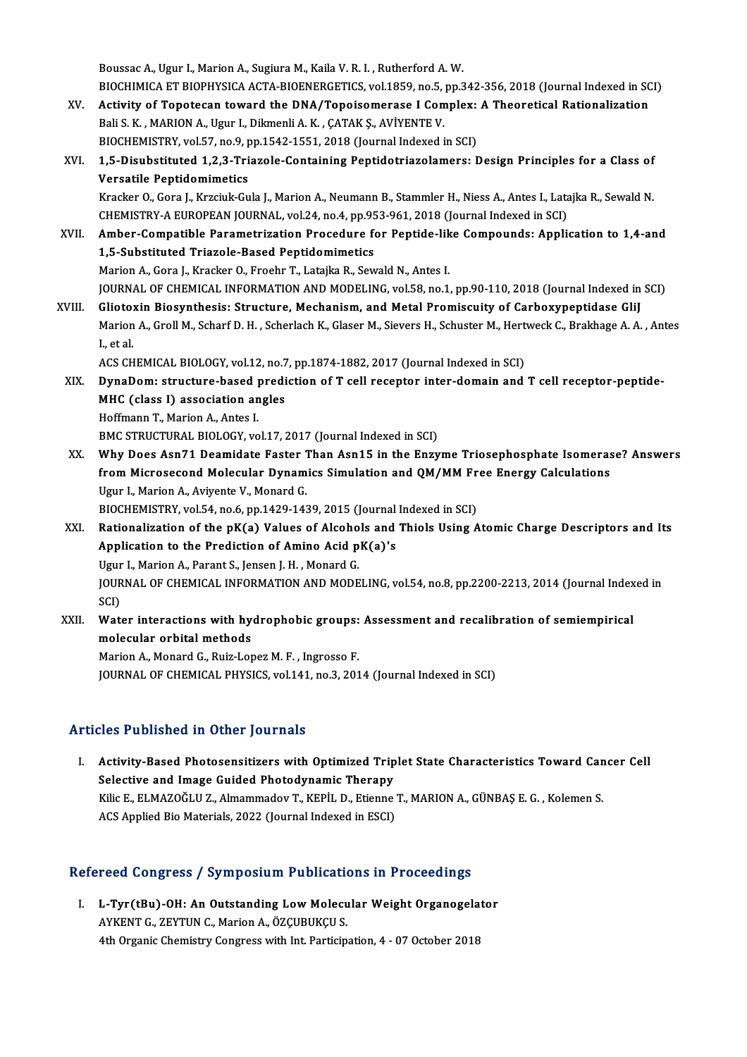Boussac A., Ugur I., Marion A., Sugiura M., Kaila V. R. I., Rutherford A. W. Boussac A., Ugur I., Marion A., Sugiura M., Kaila V. R. I. , Rutherford A. W.<br>BIOCHIMICA ET BIOPHYSICA ACTA-BIOENERGETICS, vol.1859, no.5, pp.342-356, 2018 (Journal Indexed in SCI)<br>Activity of Tenetesen toward the DNA (Ten Boussac A., Ugur I., Marion A., Sugiura M., Kaila V. R. I. , Rutherford A. W.<br>BIOCHIMICA ET BIOPHYSICA ACTA-BIOENERGETICS, vol.1859, no.5, pp.342-356, 2018 (Journal Indexed in SC<br>XV. Activity of Topotecan toward the DNA/To

- BIOCHIMICA ET BIOPHYSICA ACTA-BIOENERGETICS, vol.1859, no.5,<br>Activity of Topotecan toward the DNA/Topoisomerase I Com<br>Bali S. K. , MARION A., Ugur I., Dikmenli A. K. , ÇATAK Ş., AVİYENTE V.<br>BIOCHEMISTEV. vol.57, no.9, nn.1 Activity of Topotecan toward the DNA/Topoisomerase I Complex:<br>Bali S. K. , MARION A., Ugur I., Dikmenli A. K. , ÇATAK Ş., AVİYENTE V.<br>BIOCHEMISTRY, vol.57, no.9, pp.1542-1551, 2018 (Journal Indexed in SCI)<br>1.5. Disubstitut
- Bali S. K., MARION A., Ugur I., Dikmenli A. K., ÇATAK Ş., AVİYENTE V.<br>BIOCHEMISTRY, vol.57, no.9, pp.1542-1551, 2018 (Journal Indexed in SCI)<br>XVI. 1,5-Disubstituted 1,2,3-Triazole-Containing Peptidotriazolamers: Design Pri BIOCHEMISTRY, vol.57, no.9, p<br>1,5-Disubstituted 1,2,3-Tri<br>Versatile Peptidomimetics<br><sup>Versc</sup>ier O. Cora L. Versiuk Su

Kracker O., Gora J., Krzciuk-Gula J., Marion A., Neumann B., Stammler H., Niess A., Antes I., Latajka R., Sewald N. Versatile Peptidomimetics<br>Kracker O., Gora J., Krzciuk-Gula J., Marion A., Neumann B., Stammler H., Niess A., Antes I., Lata<br>CHEMISTRY-A EUROPEAN JOURNAL, vol.24, no.4, pp.953-961, 2018 (Journal Indexed in SCI)<br>Amber Compa Kracker O., Gora J., Krzciuk-Gula J., Marion A., Neumann B., Stammler H., Niess A., Antes I., Latajka R., Sewald N.<br>CHEMISTRY-A EUROPEAN JOURNAL, vol.24, no.4, pp.953-961, 2018 (Journal Indexed in SCI)<br>XVII. Amber-Compatib

- CHEMISTRY-A EUROPEAN JOURNAL, vol.24, no.4, pp.95<br>Amber-Compatible Parametrization Procedure for<br>1,5-Substituted Triazole-Based Peptidomimetics<br>Marian A. Cara L. Kraskar O. Erechn T. Lataika B. Sou Amber-Compatible Parametrization Procedure for Peptide-lik<br>1,5-Substituted Triazole-Based Peptidomimetics<br>Marion A., Gora J., Kracker O., Froehr T., Latajka R., Sewald N., Antes I.<br>JOUPMAL OF CHEMICAL INFORMATION AND MODEL 1,5-Substituted Triazole-Based Peptidomimetics<br>Marion A., Gora J., Kracker O., Froehr T., Latajka R., Sewald N., Antes I.<br>JOURNAL OF CHEMICAL INFORMATION AND MODELING, vol.58, no.1, pp.90-110, 2018 (Journal Indexed in SCI) Marion A., Gora J., Kracker O., Froehr T., Latajka R., Sewald N., Antes I.<br>JOURNAL OF CHEMICAL INFORMATION AND MODELING, vol.58, no.1, pp.90-110, 2018 (Journal Indexed in<br>XVIII. Gliotoxin Biosynthesis: Structure, Mechanism
- JOURNAL OF CHEMICAL INFORMATION AND MODELING, vol.58, no.1, pp.90-110, 2018 (Journal Indexed in SCI)<br>Gliotoxin Biosynthesis: Structure, Mechanism, and Metal Promiscuity of Carboxypeptidase GliJ<br>Marion A., Groll M., Scharf Glioto:<br>Marion<br>I., et al.<br>ACS CH Marion A., Groll M., Scharf D. H. , Scherlach K., Glaser M., Sievers H., Schuster M., Hert<br>I., et al.<br>ACS CHEMICAL BIOLOGY, vol.12, no.7, pp.1874-1882, 2017 (Journal Indexed in SCI)<br>DunaDam: structure, based prodistion of

X., et al.<br>ACS CHEMICAL BIOLOGY, vol.12, no.7, pp.1874-1882, 2017 (Journal Indexed in SCI)<br>XIX. DynaDom: structure-based prediction of T cell receptor inter-domain and T cell receptor-peptide-<br>MUC (class I) association ACS CHEMICAL BIOLOGY, vol.12, no.7<br>DynaDom: structure-based predi<br>MHC (class I) association angles<br>Hoffmann T. Marian A. Artas I DynaDom: structure-based<br>MHC (class I) association an<br>Hoffmann T., Marion A., Antes I.<br>PMC STRUCTURAL PIOLOCY vo MHC (class I) association angles<br>Hoffmann T., Marion A., Antes I.<br>BMC STRUCTURAL BIOLOGY, vol.17, 2017 (Journal Indexed in SCI)

- XX. Why Does Asn71 Deamidate Faster Than Asn15 in the Enzyme Triosephosphate Isomerase? Answers BMC STRUCTURAL BIOLOGY, vol.17, 2017 (Journal Indexed in SCI)<br>Why Does Asn71 Deamidate Faster Than Asn15 in the Enzyme Triosephosphate Isomeras<br>from Microsecond Molecular Dynamics Simulation and QM/MM Free Energy Calculati Why Does Asn71 Deamidate Faster 1<br>from Microsecond Molecular Dynam<br>Ugur I., Marion A., Aviyente V., Monard G.<br>PIOCHEMISTBY vel 54, no 6, np 1429 143 from Microsecond Molecular Dynamics Simulation and QM/MM Fr<br>Ugur I., Marion A., Aviyente V., Monard G.<br>BIOCHEMISTRY, vol.54, no.6, pp.1429-1439, 2015 (Journal Indexed in SCI)<br>Pationalization of the nK(a) Values of Alsabels Ugur I., Marion A., Aviyente V., Monard G.<br>BIOCHEMISTRY, vol.54, no.6, pp.1429-1439, 2015 (Journal Indexed in SCI)<br>XXI. Rationalization of the pK(a) Values of Alcohols and Thiols Using Atomic Charge Descriptors and Its<br>Ann
	-
- BIOCHEMISTRY, vol.54, no.6, pp.1429-1439, 2015 (Journal Indexed in SCI)<br>Rationalization of the pK(a) Values of Alcohols and Thiols Using  $\beta$ <br>Application to the Prediction of Amino Acid pK(a)'s<br>Ugur I., Marion A., Parant Rationalization of the pK(a) Values of Alcoho<br>Application to the Prediction of Amino Acid p<br>Ugur I., Marion A., Parant S., Jensen J. H. , Monard G.<br>JOUPMAL OF CHEMICAL INFORMATION AND MODE Application to the Prediction of Amino Acid pK(a)'s<br>Ugur I., Marion A., Parant S., Jensen J. H. , Monard G.<br>JOURNAL OF CHEMICAL INFORMATION AND MODELING, vol.54, no.8, pp.2200-2213, 2014 (Journal Indexed in<br>SCD Ugur<br>JOUR<br>SCI)<br>Wet JOURNAL OF CHEMICAL INFORMATION AND MODELING, vol.54, no.8, pp.2200-2213, 2014 (Journal Index<br>SCI)<br>XXII. Water interactions with hydrophobic groups: Assessment and recalibration of semiempirical<br>molecular erbital methode
- SCI)<br>Water interactions with hydrophobic groups: Assessment and recalibration of semiempirical<br>molecular orbital methods

Marion A., Monard G., Ruiz-Lopez M. F., Ingrosso F. JOURNAL OF CHEMICAL PHYSICS, vol.141, no.3, 2014 (Journal Indexed in SCI)

## Articles Published in Other Journals

rticles Published in Other Journals<br>I. Activity-Based Photosensitizers with Optimized Triplet State Characteristics Toward Cancer Cell<br>Selective and Image Cuided Photodynamia Therepy Selective and Image Guided Photosensitizers with Optimized Trip<br>Selective and Image Guided Photodynamic Therapy<br>Vilia E. ELMAZOČLU Z. Almammadov T. KEPİL D. Frienne Activity-Based Photosensitizers with Optimized Triplet State Characteristics Toward Can<br>Selective and Image Guided Photodynamic Therapy<br>Kilic E., ELMAZOĞLU Z., Almammadov T., KEPİL D., Etienne T., MARION A., GÜNBAŞ E. G. , Selective and Image Guided Photodynamic Therapy<br>Kilic E., ELMAZOĞLU Z., Almammadov T., KEPİL D., Etienne T., MARION A., GÜNBAŞ E. G. , Kolemen S.<br>ACS Applied Bio Materials, 2022 (Journal Indexed in ESCI)

# Acs Applied Bio Materials, 2022 (journal indexed in ESCI)<br>Refereed Congress / Symposium Publications in Proceedings

efereed Congress / Symposium Publications in Proceedings<br>I. L-Tyr(tBu)-OH: An Outstanding Low Molecular Weight Organogelator I. L-Tyr(tBu)-OH: An Outstanding Low Molecular Weight Organogelator<br>AYKENT G., ZEYTUN C., Marion A., ÖZÇUBUKÇU S. 4th Organic Chemistry Congress with Int. Participation, 4 - 07 October 2018